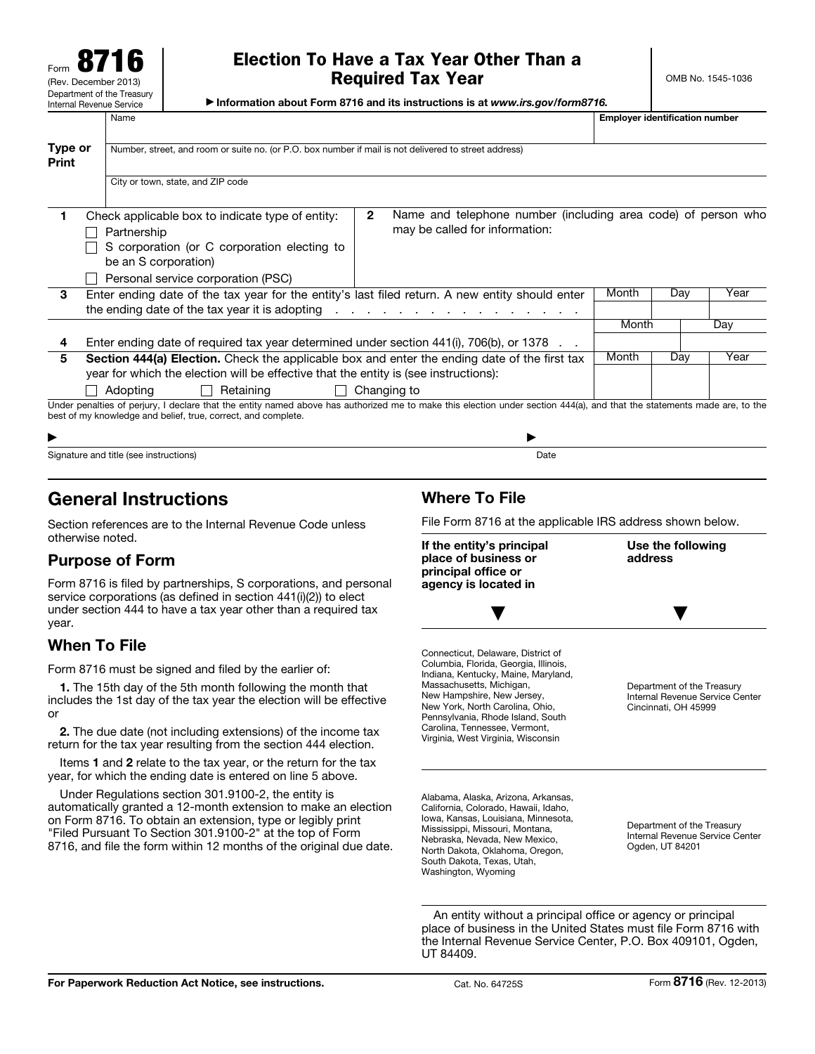Form 8716 (Rev. December 2013) Department of the Treasury Internal Revenue Service

# Election To Have a Tax Year Other Than a Required Tax Year

OMB No. 1545-1036

▶ Information about Form 8716 and its instructions is at *www.irs.gov/form8716.*

Name **Employer identification number**  $\Box$ 

| Type or<br>Print | Number, street, and room or suite no. (or P.O. box number if mail is not delivered to street address)                                                                                                                                                                              |       |                                                                                                 |       |     |      |  |  |  |
|------------------|------------------------------------------------------------------------------------------------------------------------------------------------------------------------------------------------------------------------------------------------------------------------------------|-------|-------------------------------------------------------------------------------------------------|-------|-----|------|--|--|--|
|                  | City or town, state, and ZIP code                                                                                                                                                                                                                                                  |       |                                                                                                 |       |     |      |  |  |  |
| 1.               | Check applicable box to indicate type of entity:<br>Partnership<br>S corporation (or C corporation electing to<br>be an S corporation)<br>Personal service corporation (PSC)                                                                                                       | 2     | Name and telephone number (including area code) of person who<br>may be called for information: |       |     |      |  |  |  |
| 3                | Enter ending date of the tax year for the entity's last filed return. A new entity should enter<br>the ending date of the tax year it is adopting                                                                                                                                  |       | and a series of the contract of the contract of the contract of                                 | Month | Day | Year |  |  |  |
|                  |                                                                                                                                                                                                                                                                                    |       |                                                                                                 | Month |     | Day  |  |  |  |
|                  | Enter ending date of required tax year determined under section 441(i), 706(b), or 1378                                                                                                                                                                                            |       |                                                                                                 |       |     |      |  |  |  |
| 5                | Section 444(a) Election. Check the applicable box and enter the ending date of the first tax<br>year for which the election will be effective that the entity is (see instructions):                                                                                               | Month | Dav                                                                                             | Year  |     |      |  |  |  |
|                  | Adopting<br>Retaining<br>$\mathbf{I}$<br>Under penalties of perjury, I declare that the entity named above has authorized me to make this election under section 444(a), and that the statements made are, to the<br>best of my knowledge and belief, true, correct, and complete. |       | Changing to                                                                                     |       |     |      |  |  |  |
|                  |                                                                                                                                                                                                                                                                                    |       |                                                                                                 |       |     |      |  |  |  |

| ▶                                                       |           |
|---------------------------------------------------------|-----------|
| Signature and title (see instructions)<br>. .<br>.<br>. | Date<br>. |

# General Instructions

Section references are to the Internal Revenue Code unless otherwise noted.

# Purpose of Form

Form 8716 is filed by partnerships, S corporations, and personal service corporations (as defined in section 441(i)(2)) to elect under section 444 to have a tax year other than a required tax year.

# When To File

Form 8716 must be signed and filed by the earlier of:

1. The 15th day of the 5th month following the month that includes the 1st day of the tax year the election will be effective or

2. The due date (not including extensions) of the income tax return for the tax year resulting from the section 444 election.

Items 1 and 2 relate to the tax year, or the return for the tax year, for which the ending date is entered on line 5 above.

Under Regulations section 301.9100-2, the entity is automatically granted a 12-month extension to make an election on Form 8716. To obtain an extension, type or legibly print "Filed Pursuant To Section 301.9100-2" at the top of Form 8716, and file the form within 12 months of the original due date.

# Where To File

File Form 8716 at the applicable IRS address shown below.



An entity without a principal office or agency or principal place of business in the United States must file Form 8716 with the Internal Revenue Service Center, P.O. Box 409101, Ogden, UT 84409.

North Dakota, Oklahoma, Oregon, South Dakota, Texas, Utah, Washington, Wyoming

Ogden, UT 84201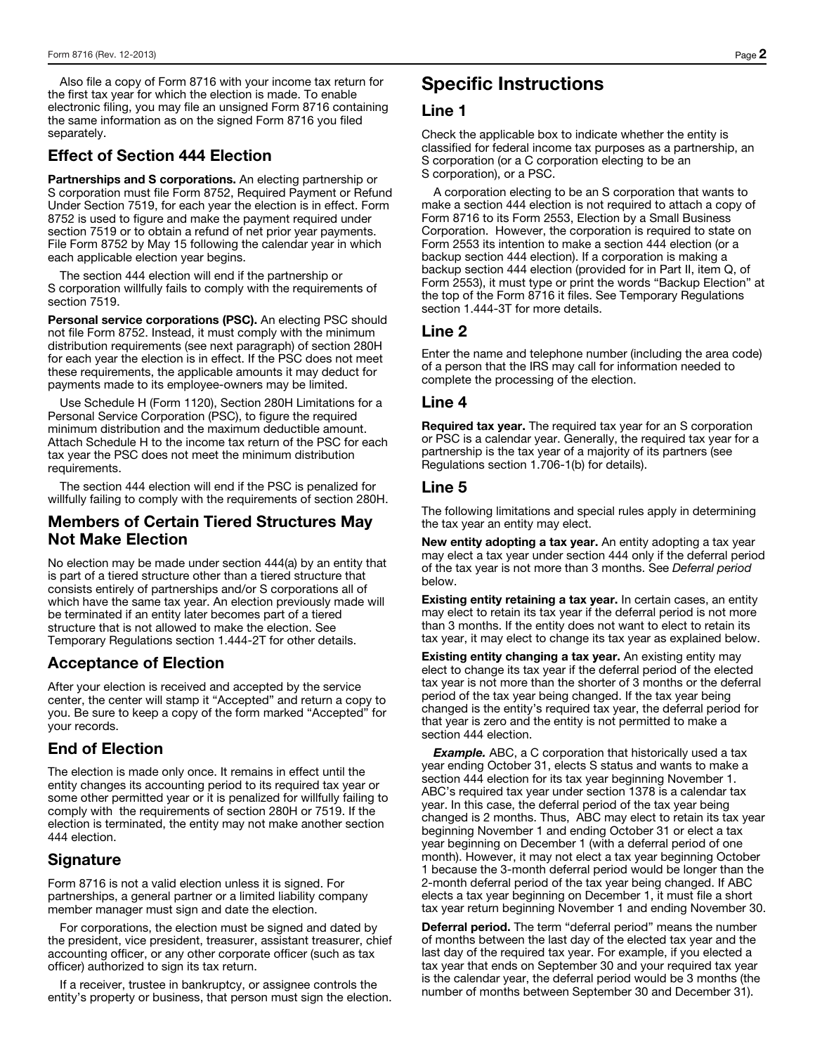Also file a copy of Form 8716 with your income tax return for the first tax year for which the election is made. To enable electronic filing, you may file an unsigned Form 8716 containing the same information as on the signed Form 8716 you filed separately.

### Effect of Section 444 Election

Partnerships and S corporations. An electing partnership or S corporation must file Form 8752, Required Payment or Refund Under Section 7519, for each year the election is in effect. Form 8752 is used to figure and make the payment required under section 7519 or to obtain a refund of net prior year payments. File Form 8752 by May 15 following the calendar year in which each applicable election year begins.

The section 444 election will end if the partnership or S corporation willfully fails to comply with the requirements of section 7519.

Personal service corporations (PSC). An electing PSC should not file Form 8752. Instead, it must comply with the minimum distribution requirements (see next paragraph) of section 280H for each year the election is in effect. If the PSC does not meet these requirements, the applicable amounts it may deduct for payments made to its employee-owners may be limited.

Use Schedule H (Form 1120), Section 280H Limitations for a Personal Service Corporation (PSC), to figure the required minimum distribution and the maximum deductible amount. Attach Schedule H to the income tax return of the PSC for each tax year the PSC does not meet the minimum distribution requirements.

The section 444 election will end if the PSC is penalized for willfully failing to comply with the requirements of section 280H.

### Members of Certain Tiered Structures May Not Make Election

No election may be made under section 444(a) by an entity that is part of a tiered structure other than a tiered structure that consists entirely of partnerships and/or S corporations all of which have the same tax year. An election previously made will be terminated if an entity later becomes part of a tiered structure that is not allowed to make the election. See Temporary Regulations section 1.444-2T for other details.

### Acceptance of Election

After your election is received and accepted by the service center, the center will stamp it "Accepted" and return a copy to you. Be sure to keep a copy of the form marked "Accepted" for your records.

#### End of Election

The election is made only once. It remains in effect until the entity changes its accounting period to its required tax year or some other permitted year or it is penalized for willfully failing to comply with the requirements of section 280H or 7519. If the election is terminated, the entity may not make another section 444 election.

### **Signature**

Form 8716 is not a valid election unless it is signed. For partnerships, a general partner or a limited liability company member manager must sign and date the election.

For corporations, the election must be signed and dated by the president, vice president, treasurer, assistant treasurer, chief accounting officer, or any other corporate officer (such as tax officer) authorized to sign its tax return.

If a receiver, trustee in bankruptcy, or assignee controls the entity's property or business, that person must sign the election.

# Specific Instructions

#### Line 1

Check the applicable box to indicate whether the entity is classified for federal income tax purposes as a partnership, an S corporation (or a C corporation electing to be an S corporation), or a PSC.

A corporation electing to be an S corporation that wants to make a section 444 election is not required to attach a copy of Form 8716 to its Form 2553, Election by a Small Business Corporation. However, the corporation is required to state on Form 2553 its intention to make a section 444 election (or a backup section 444 election). If a corporation is making a backup section 444 election (provided for in Part II, item Q, of Form 2553), it must type or print the words "Backup Election" at the top of the Form 8716 it files. See Temporary Regulations section 1.444-3T for more details.

#### Line 2

Enter the name and telephone number (including the area code) of a person that the IRS may call for information needed to complete the processing of the election.

#### Line 4

Required tax year. The required tax year for an S corporation or PSC is a calendar year. Generally, the required tax year for a partnership is the tax year of a majority of its partners (see Regulations section 1.706-1(b) for details).

#### Line 5

The following limitations and special rules apply in determining the tax year an entity may elect.

New entity adopting a tax year. An entity adopting a tax year may elect a tax year under section 444 only if the deferral period of the tax year is not more than 3 months. See *Deferral period*  below.

Existing entity retaining a tax year. In certain cases, an entity may elect to retain its tax year if the deferral period is not more than 3 months. If the entity does not want to elect to retain its tax year, it may elect to change its tax year as explained below.

Existing entity changing a tax year. An existing entity may elect to change its tax year if the deferral period of the elected tax year is not more than the shorter of 3 months or the deferral period of the tax year being changed. If the tax year being changed is the entity's required tax year, the deferral period for that year is zero and the entity is not permitted to make a section 444 election.

**Example.** ABC, a C corporation that historically used a tax year ending October 31, elects S status and wants to make a section 444 election for its tax year beginning November 1. ABC's required tax year under section 1378 is a calendar tax year. In this case, the deferral period of the tax year being changed is 2 months. Thus, ABC may elect to retain its tax year beginning November 1 and ending October 31 or elect a tax year beginning on December 1 (with a deferral period of one month). However, it may not elect a tax year beginning October 1 because the 3-month deferral period would be longer than the 2-month deferral period of the tax year being changed. If ABC elects a tax year beginning on December 1, it must file a short tax year return beginning November 1 and ending November 30.

Deferral period. The term "deferral period" means the number of months between the last day of the elected tax year and the last day of the required tax year. For example, if you elected a tax year that ends on September 30 and your required tax year is the calendar year, the deferral period would be 3 months (the number of months between September 30 and December 31).